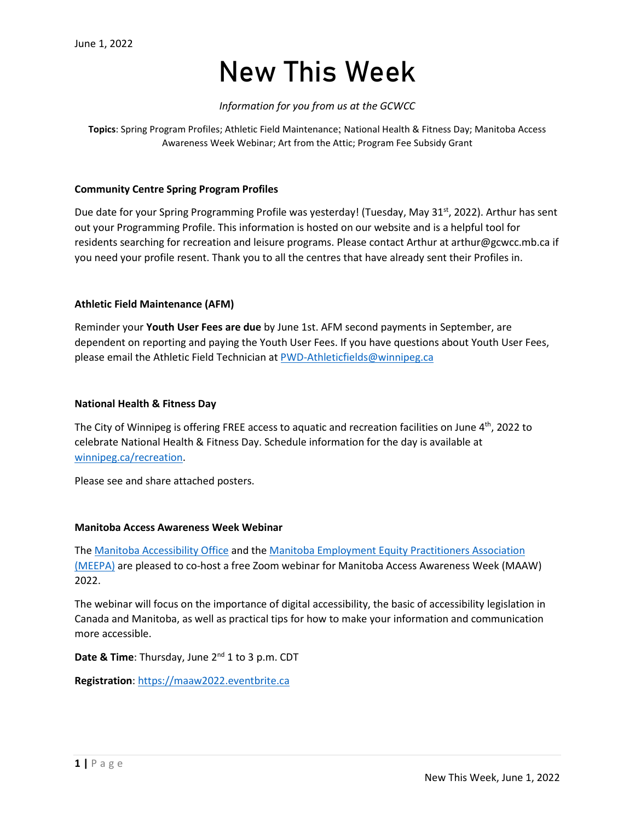### New This Week

#### *Information for you from us at the GCWCC*

**Topics**: Spring Program Profiles; Athletic Field Maintenance; National Health & Fitness Day; Manitoba Access Awareness Week Webinar; Art from the Attic; Program Fee Subsidy Grant

#### **Community Centre Spring Program Profiles**

Due date for your Spring Programming Profile was yesterday! (Tuesday, May 31<sup>st</sup>, 2022). Arthur has sent out your Programming Profile. This information is hosted on our website and is a helpful tool for residents searching for recreation and leisure programs. Please contact Arthur at arthur@gcwcc.mb.ca if you need your profile resent. Thank you to all the centres that have already sent their Profiles in.

#### **Athletic Field Maintenance (AFM)**

Reminder your **Youth User Fees are due** by June 1st. AFM second payments in September, are dependent on reporting and paying the Youth User Fees. If you have questions about Youth User Fees, please email the Athletic Field Technician a[t PWD-Athleticfields@winnipeg.ca](mailto:PWD-Athleticfields@winnipeg.ca)

#### **National Health & Fitness Day**

The City of Winnipeg is offering FREE access to aquatic and recreation facilities on June  $4<sup>th</sup>$ , 2022 to celebrate National Health & Fitness Day. Schedule information for the day is available at [winnipeg.ca/recreation.](https://winnipeg.ca/cms/recreation/default.stm)

Please see and share attached posters.

#### **Manitoba Access Awareness Week Webinar**

The [Manitoba Accessibility Office](http://incoming.sasm28.com/linktracker2/?%7b0%7Ecolleenvke2edmbepwattersczd0h8pykugovvke2edmbepmbvke2edmbepca%7d%7b94d2bc7c-5ea0-456a-8395-da86253949bb%7d%7b%7d%7bhttp%3a%2f%2faccessibilitymb.ca%2f%7d%7b%7d%7b%7d) and the [Manitoba Employment Equity Practitioners Association](https://incoming.sbemail1.com/linktracker2/?%7b0%7E%23%23URLEmail%23%23%7d%7be9066cd7-b6db-4107-b59c-1bda05ca1537%7d%7b%7d%7bhttp%3a%2f%2fwww.meepa.ca%2f%7d%7b%7d%7b%7d)  [\(MEEPA\)](https://incoming.sbemail1.com/linktracker2/?%7b0%7E%23%23URLEmail%23%23%7d%7be9066cd7-b6db-4107-b59c-1bda05ca1537%7d%7b%7d%7bhttp%3a%2f%2fwww.meepa.ca%2f%7d%7b%7d%7b%7d) are pleased to co-host a free Zoom webinar for Manitoba Access Awareness Week (MAAW) 2022.

The webinar will focus on the importance of digital accessibility, the basic of accessibility legislation in Canada and Manitoba, as well as practical tips for how to make your information and communication more accessible.

**Date & Time**: Thursday, June 2<sup>nd</sup> 1 to 3 p.m. CDT

**Registration**: [https://maaw2022.eventbrite.ca](https://incoming.sbemail1.com/linktracker2/?%7b0%7E%23%23URLEmail%23%23%7d%7be9066cd7-b6db-4107-b59c-1bda05ca1537%7d%7b%7d%7bhttps%3a%2f%2fmaaw2022.eventbrite.ca%2f%7d%7b%7d%7b%7d)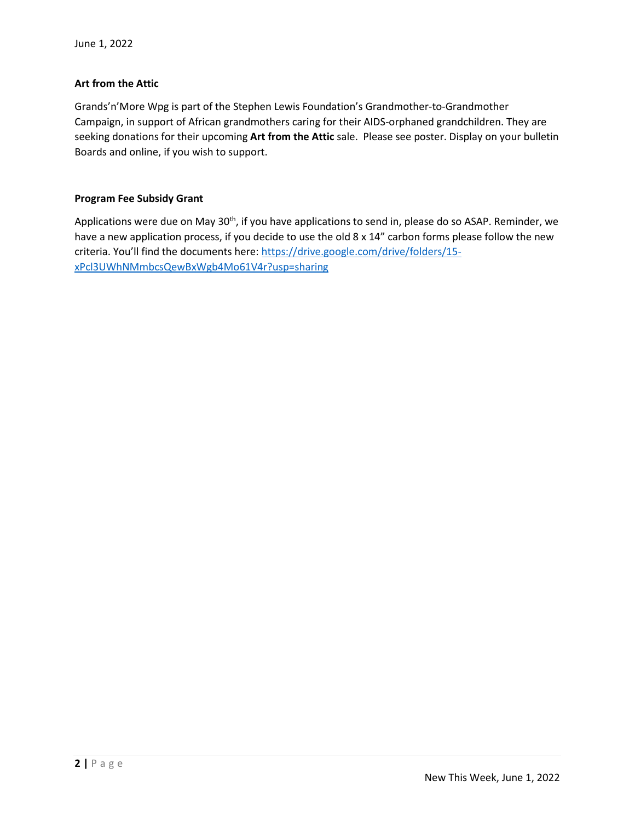#### **Art from the Attic**

Grands'n'More Wpg is part of the Stephen Lewis Foundation's Grandmother-to-Grandmother Campaign, in support of African grandmothers caring for their AIDS-orphaned grandchildren. They are seeking donations for their upcoming **Art from the Attic** sale. Please see poster. Display on your bulletin Boards and online, if you wish to support.

#### **Program Fee Subsidy Grant**

Applications were due on May 30<sup>th</sup>, if you have applications to send in, please do so ASAP. Reminder, we have a new application process, if you decide to use the old 8 x 14" carbon forms please follow the new criteria. You'll find the documents here: [https://drive.google.com/drive/folders/15](https://drive.google.com/drive/folders/15-xPcl3UWhNMmbcsQewBxWgb4Mo61V4r?usp=sharing) [xPcl3UWhNMmbcsQewBxWgb4Mo61V4r?usp=sharing](https://drive.google.com/drive/folders/15-xPcl3UWhNMmbcsQewBxWgb4Mo61V4r?usp=sharing)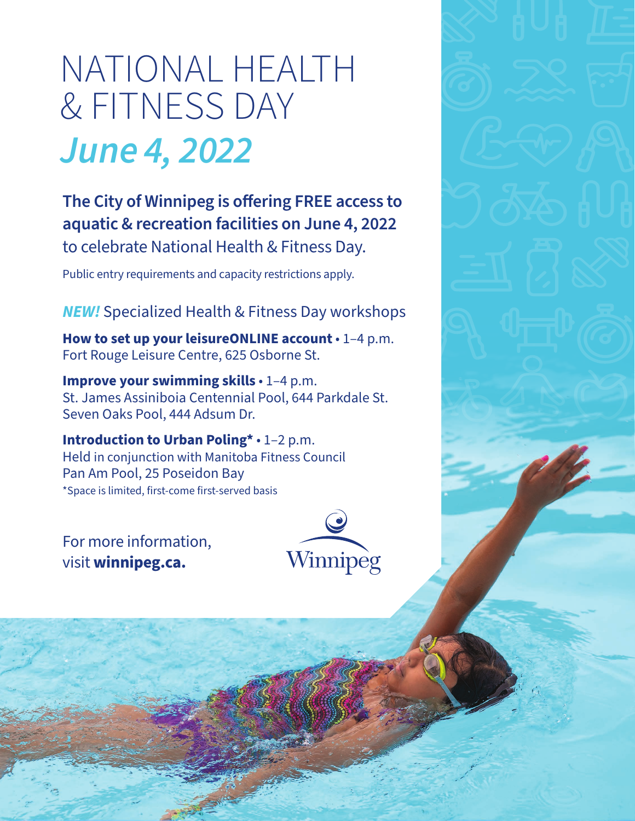# NATIONAL HEALTH & FITNESS DAY *June 4, 2022*

**The City of Winnipeg is offering FREE access to aquatic & recreation facilities on June 4, 2022**  to celebrate National Health & Fitness Day.

Public entry requirements and capacity restrictions apply.

*NEW!* Specialized Health & Fitness Day workshops

**How to set up your leisureONLINE account** • 1–4 p.m. Fort Rouge Leisure Centre, 625 Osborne St.

**Improve your swimming skills** • 1–4 p.m. St. James Assiniboia Centennial Pool, 644 Parkdale St. Seven Oaks Pool, 444 Adsum Dr.

**Introduction to Urban Poling\*** • 1–2 p.m. Held in conjunction with Manitoba Fitness Council Pan Am Pool, 25 Poseidon Bay \*Space is limited, first-come first-served basis

For more information, visit **winnipeg.ca.**